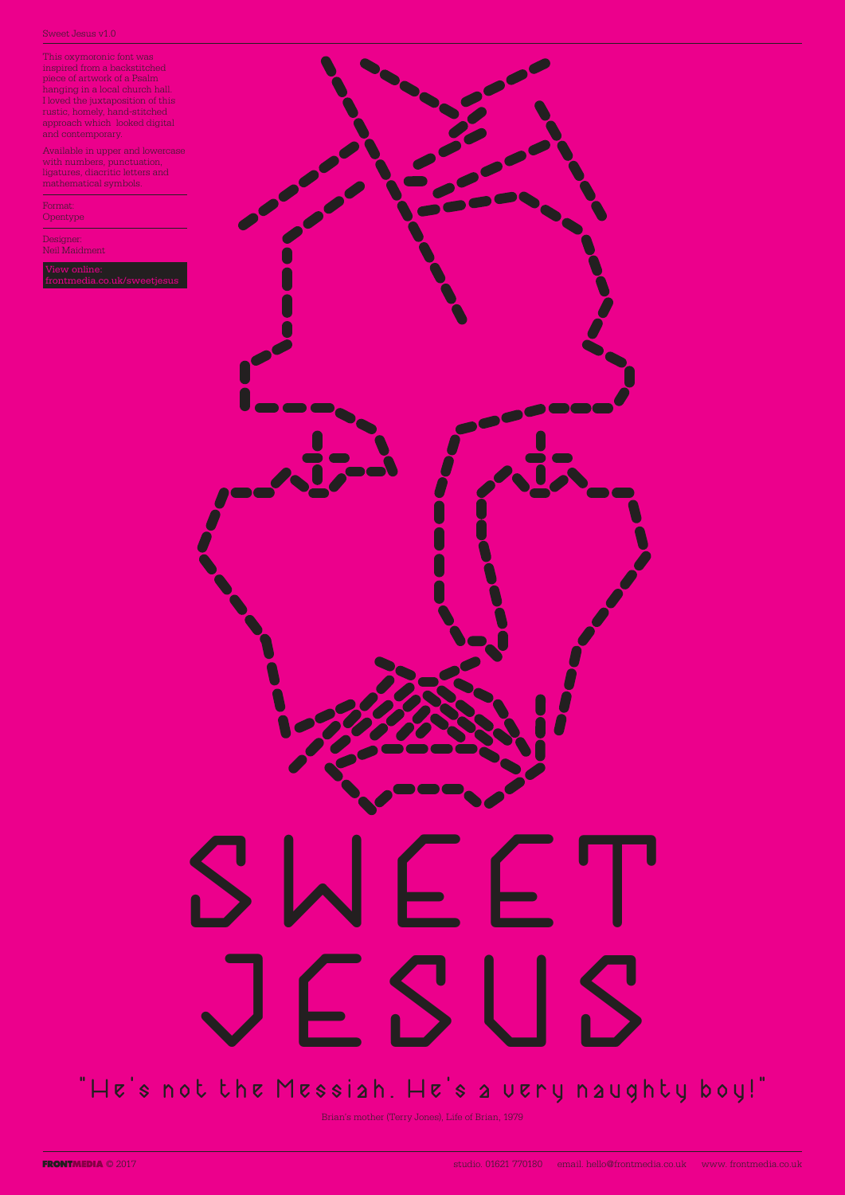This oxymoronic font was inspired from a backstitched piece of artwork of a Psalm hanging in a local church hall. I loved the juxtaposition of this rustic, homely, hand-stitched approach which looked digital and contemporary.

Available in upper and lowercase with numbers, punctuation, ligatures, diacritic letters and mathematical symbols.

Format: Opentype

Designer: Neil Maidment

media.co.uk/s<mark>v</mark>



# JESUS

### "He's not the Messiah. He's a very naughty boy!"

Brian's mother (Terry Jones), Life of Brian, 1979

© 2017 studio. 01621 770180 email. hello@frontmedia.co.uk www. frontmedia.co.uk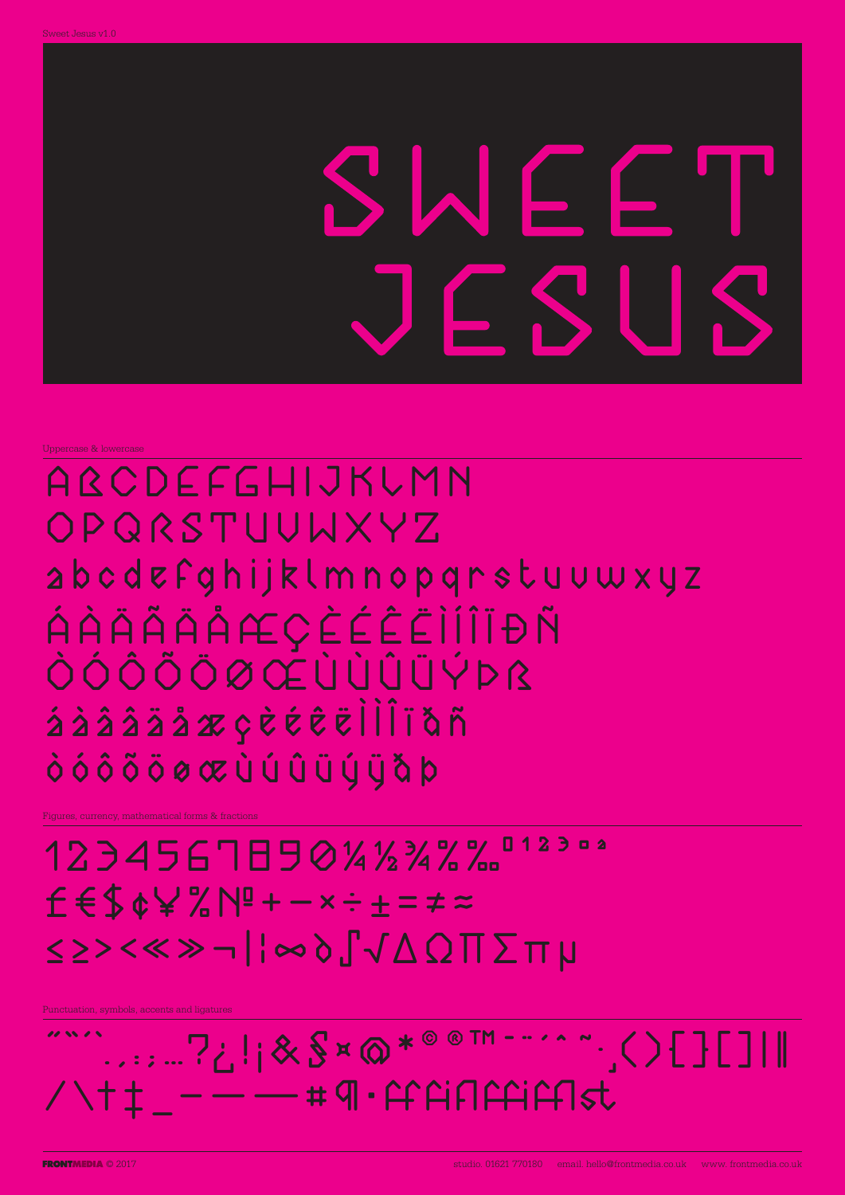Uppercase & lowercase

### AQCDEFGHIJKUMN OPQRSTUUWXYZ abcdefghijklmnopgrstuuwxyz ÁÀÄÄÄÅÆÇÈÉÈÏÎÎÏÐÑ ÒÓÔÕÕØŒÙÙÛÜÝÞß áàââäåæçèéêëllĨïǎñ òóôõõøœùúûüýÿåþ

Figures, currency, mathematical forms & fractions

12345678901412347912302  $f 6$ \$¢¥%N!+-x÷±=≠≈

## ≤≥><≪≫¬|¦∞∂∫√∆Ω∏∑πµ

Punctuation, symbols, accents and ligatures

### .......?;||&\$¤@\*®®™--'^^".()[][]|| 11 SS 1 S  $\tau + 1 = -1$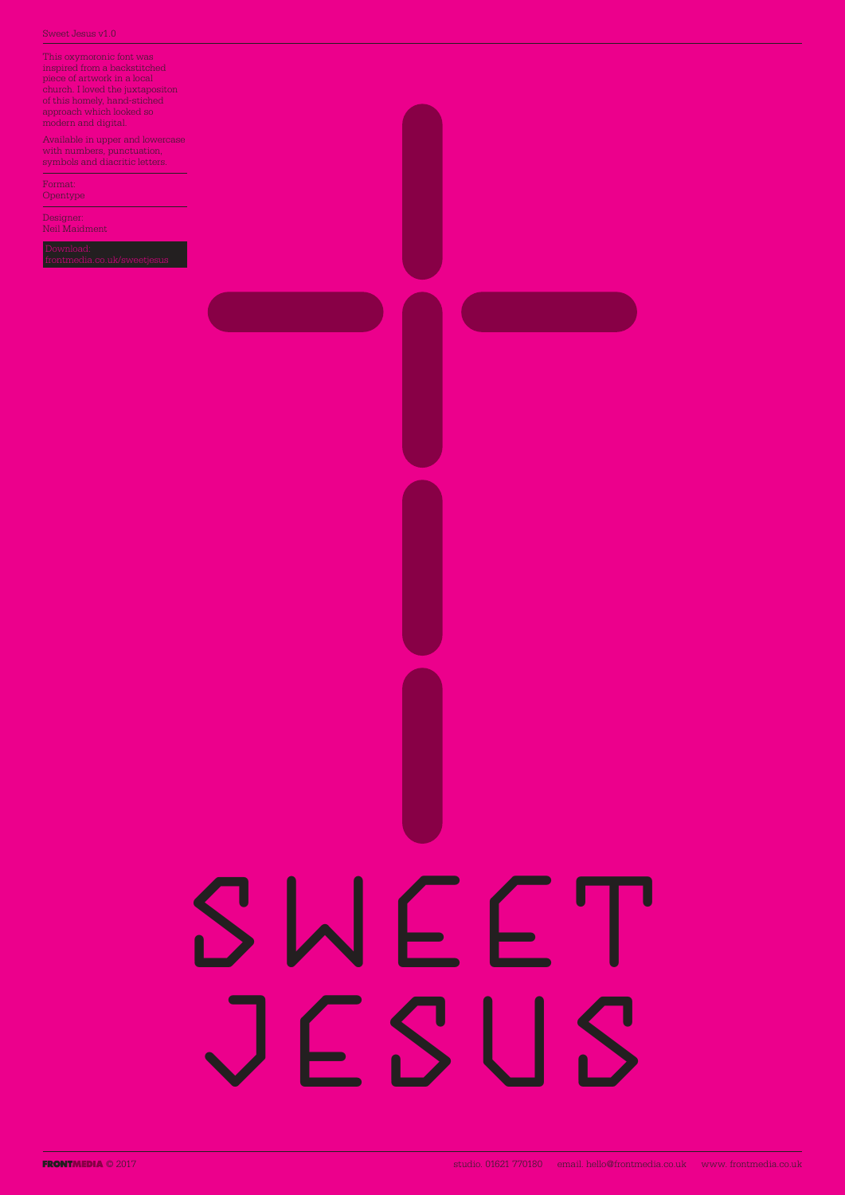This oxymoronic font was inspired from a backstitched piece of artwork in a local church. I loved the juxtapositon of this homely, hand-stiched approach which looked so modern and digital.

Available in upper and lowercase with numbers, punctuation, symbols and diacritic letters.

Format: Opentype

Designer: Neil Maidment



ERONTMEDIA © 2017 Studio. 01621 770180 email. hello@frontmedia.co.uk www. frontmedia.co.uk